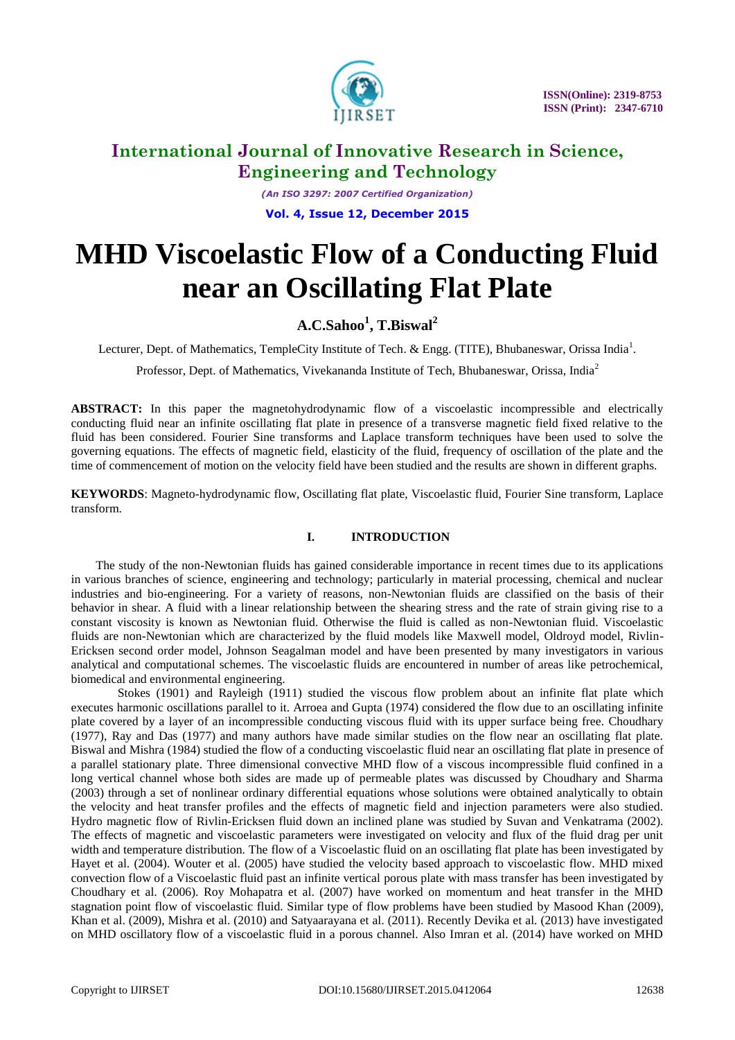

*(An ISO 3297: 2007 Certified Organization)* **Vol. 4, Issue 12, December 2015**

# **MHD Viscoelastic Flow of a Conducting Fluid near an Oscillating Flat Plate**

### **A.C.Sahoo<sup>1</sup> , T.Biswal<sup>2</sup>**

Lecturer, Dept. of Mathematics, TempleCity Institute of Tech. & Engg. (TITE), Bhubaneswar, Orissa India<sup>1</sup>.

Professor, Dept. of Mathematics, Vivekananda Institute of Tech, Bhubaneswar, Orissa, India<sup>2</sup>

**ABSTRACT:** In this paper the magnetohydrodynamic flow of a viscoelastic incompressible and electrically conducting fluid near an infinite oscillating flat plate in presence of a transverse magnetic field fixed relative to the fluid has been considered. Fourier Sine transforms and Laplace transform techniques have been used to solve the governing equations. The effects of magnetic field, elasticity of the fluid, frequency of oscillation of the plate and the time of commencement of motion on the velocity field have been studied and the results are shown in different graphs.

**KEYWORDS**: Magneto-hydrodynamic flow, Oscillating flat plate, Viscoelastic fluid, Fourier Sine transform, Laplace transform.

### **I. INTRODUCTION**

 The study of the non-Newtonian fluids has gained considerable importance in recent times due to its applications in various branches of science, engineering and technology; particularly in material processing, chemical and nuclear industries and bio-engineering. For a variety of reasons, non-Newtonian fluids are classified on the basis of their behavior in shear. A fluid with a linear relationship between the shearing stress and the rate of strain giving rise to a constant viscosity is known as Newtonian fluid. Otherwise the fluid is called as non-Newtonian fluid. Viscoelastic fluids are non-Newtonian which are characterized by the fluid models like Maxwell model, Oldroyd model, Rivlin-Ericksen second order model, Johnson Seagalman model and have been presented by many investigators in various analytical and computational schemes. The viscoelastic fluids are encountered in number of areas like petrochemical, biomedical and environmental engineering.

 Stokes (1901) and Rayleigh (1911) studied the viscous flow problem about an infinite flat plate which executes harmonic oscillations parallel to it. Arroea and Gupta (1974) considered the flow due to an oscillating infinite plate covered by a layer of an incompressible conducting viscous fluid with its upper surface being free. Choudhary (1977), Ray and Das (1977) and many authors have made similar studies on the flow near an oscillating flat plate. Biswal and Mishra (1984) studied the flow of a conducting viscoelastic fluid near an oscillating flat plate in presence of a parallel stationary plate. Three dimensional convective MHD flow of a viscous incompressible fluid confined in a long vertical channel whose both sides are made up of permeable plates was discussed by Choudhary and Sharma (2003) through a set of nonlinear ordinary differential equations whose solutions were obtained analytically to obtain the velocity and heat transfer profiles and the effects of magnetic field and injection parameters were also studied. Hydro magnetic flow of Rivlin-Ericksen fluid down an inclined plane was studied by Suvan and Venkatrama (2002). The effects of magnetic and viscoelastic parameters were investigated on velocity and flux of the fluid drag per unit width and temperature distribution. The flow of a Viscoelastic fluid on an oscillating flat plate has been investigated by Hayet et al. (2004). Wouter et al. (2005) have studied the velocity based approach to viscoelastic flow. MHD mixed convection flow of a Viscoelastic fluid past an infinite vertical porous plate with mass transfer has been investigated by Choudhary et al. (2006). Roy Mohapatra et al. (2007) have worked on momentum and heat transfer in the MHD stagnation point flow of viscoelastic fluid. Similar type of flow problems have been studied by Masood Khan (2009), Khan et al. (2009), Mishra et al. (2010) and Satyaarayana et al. (2011). Recently Devika et al. (2013) have investigated on MHD oscillatory flow of a viscoelastic fluid in a porous channel. Also Imran et al. (2014) have worked on MHD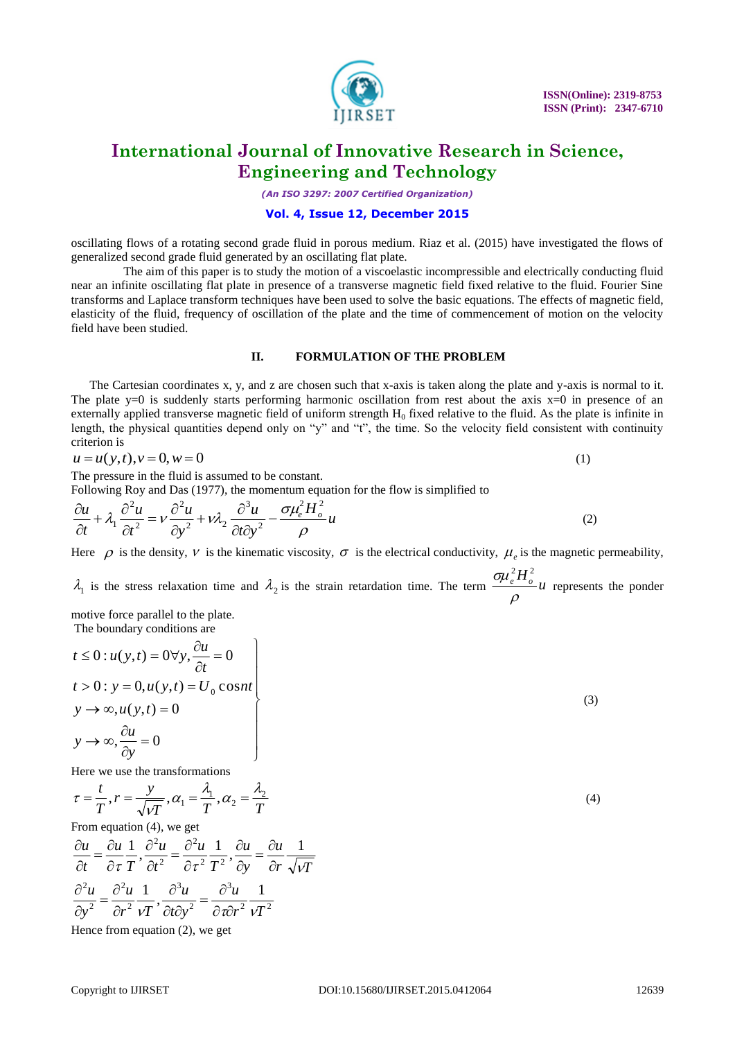

*(An ISO 3297: 2007 Certified Organization)*

#### **Vol. 4, Issue 12, December 2015**

oscillating flows of a rotating second grade fluid in porous medium. Riaz et al. (2015) have investigated the flows of generalized second grade fluid generated by an oscillating flat plate.

 The aim of this paper is to study the motion of a viscoelastic incompressible and electrically conducting fluid near an infinite oscillating flat plate in presence of a transverse magnetic field fixed relative to the fluid. Fourier Sine transforms and Laplace transform techniques have been used to solve the basic equations. The effects of magnetic field, elasticity of the fluid, frequency of oscillation of the plate and the time of commencement of motion on the velocity field have been studied.

#### **II. FORMULATION OF THE PROBLEM**

 The Cartesian coordinates x, y, and z are chosen such that x-axis is taken along the plate and y-axis is normal to it. The plate  $y=0$  is suddenly starts performing harmonic oscillation from rest about the axis  $x=0$  in presence of an externally applied transverse magnetic field of uniform strength  $H_0$  fixed relative to the fluid. As the plate is infinite in length, the physical quantities depend only on "y" and "t", the time. So the velocity field consistent with continuity criterion is

$$
u = u(y, t), v = 0, w = 0
$$
\n(1)

The pressure in the fluid is assumed to be constant.

Following Roy and Das (1977), the momentum equation for the flow is simplified to

$$
\frac{\partial u}{\partial t} + \lambda_1 \frac{\partial^2 u}{\partial t^2} = v \frac{\partial^2 u}{\partial y^2} + v \lambda_2 \frac{\partial^3 u}{\partial t \partial y^2} - \frac{\sigma \mu_e^2 H_o^2}{\rho} u \tag{2}
$$

Here  $\rho$  is the density,  $\nu$  is the kinematic viscosity,  $\sigma$  is the electrical conductivity,  $\mu_e$  is the magnetic permeability,

 $\lambda_1$  is the stress relaxation time and  $\lambda_2$  is the strain retardation time. The term  $\frac{\sigma \mu_e^2 H_o^2}{2\mu}$  $\rho$  $\sigma \!\!\mu_e^2 H_o^2$ represents the ponder

motive force parallel to the plate. The boundary conditions are

$$
t \le 0: u(y,t) = 0 \forall y, \frac{\partial u}{\partial t} = 0
$$
  
\n
$$
t > 0: y = 0, u(y,t) = U_0 \cos nt
$$
  
\n
$$
y \to \infty, u(y,t) = 0
$$
  
\n
$$
y \to \infty, \frac{\partial u}{\partial y} = 0
$$
\n(3)

Here we use the transformations

$$
\tau = \frac{t}{T}, r = \frac{y}{\sqrt{VT}}, \alpha_1 = \frac{\lambda_1}{T}, \alpha_2 = \frac{\lambda_2}{T}
$$
\n(4)

From equation (4), we get

2, $\pi^2$ 3 2 3 2 2 2  $\frac{2u}{\lambda} = \frac{\partial^2 u}{\partial x^2} \frac{1}{\lambda} \frac{\partial^3 u}{\partial y^2} = \frac{\partial^3 u}{\partial y^2} \frac{1}{\lambda}$ 2  $\mathbf{T}^2$ 2 2  $\frac{1}{2}$ ,  $\frac{\partial^2 u}{\partial x^2} = \frac{\partial^2 u}{\partial x^2} \frac{1}{x^2}$ ,  $\frac{\partial u}{\partial x} = \frac{\partial u}{\partial x} \frac{1}{\sqrt{x^2}}$  $r^2$   $\nu T$ *u*  $t\partial y$ *u*  $r^2$   $\nu T$ *u y u r*  $\sqrt{\nu}I$ *u y u T u t u T u t u*  $vT^2 \partial t \partial y^2$   $\partial \tau \partial r^2 v$  $\tau T^{\prime} \partial t^2 \partial \tau^2 T^2^{\prime} \partial y \partial r \sqrt{\nu}$  $=\frac{\partial}{\partial x}$  $\partial t\partial$  $\partial$  $\partial$  $=\frac{\partial}{\partial x}$  $\partial$  $\partial$  $=\frac{\partial}{\partial x}$  $\partial$  $\partial$  $\partial$  $=\frac{\partial}{\partial x}$  $\partial$  $\partial$  $\partial$  $=\frac{\partial}{\partial x}$  $\partial$  $\partial$ 

Hence from equation (2), we get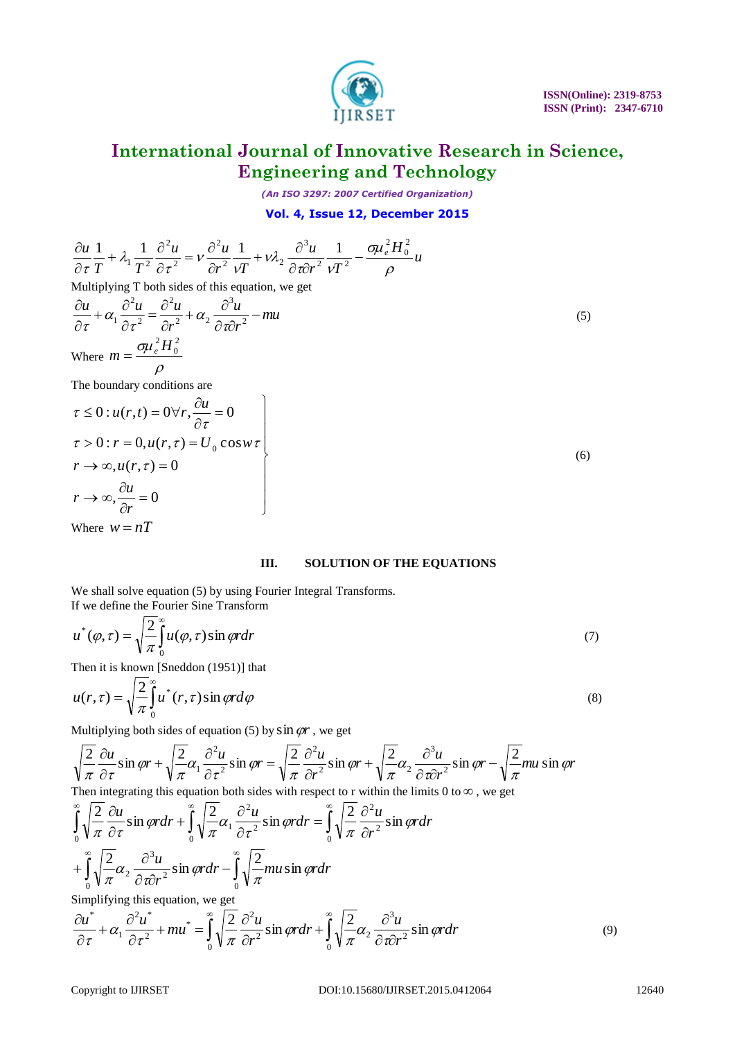

*(An ISO 3297: 2007 Certified Organization)*

**Vol. 4, Issue 12, December 2015**

$$
\frac{\partial u}{\partial \tau} \frac{1}{T} + \lambda_1 \frac{1}{T^2} \frac{\partial^2 u}{\partial \tau^2} = v \frac{\partial^2 u}{\partial r^2} \frac{1}{v} + v\lambda_2 \frac{\partial^2 u}{\partial r \partial r^2} \frac{1}{vT^2} - \frac{\sigma u_c^2 H_0^2}{\rho} u
$$
  
\nMultiplying T to both sides of this equation, we get  
\n
$$
\frac{\partial u}{\partial \tau} + \alpha_1 \frac{\partial^2 u}{\partial \tau^2} = \frac{\partial^2 u}{\partial r^2} + \alpha_2 \frac{\partial^2 u}{\partial \tau \partial r^2} - mu
$$
\nwhere  $m = \frac{\sigma u_c^2 H_0^2}{\rho}$   
\n $\tau > 0$ ;  $\mu(\tau, t) = 0$  or  $\tau$ ,  $\frac{\partial u}{\partial \tau} = 0$   
\n $\tau > 0$ ;  $r = 0$ ,  $u(r, \tau) = U_0$  cos  $w \tau$   
\n $r \rightarrow \infty$ ,  $\frac{\partial u}{\partial r} = 0$   
\n $\tau > 0$ ;  $r = 0$ ,  $u(r, \tau) = 0$   
\n $r \rightarrow \infty$ ,  $\frac{\partial u}{\partial r} = 0$   
\nWhere  $w = nT$   
\nH. **SOLUTION OF THE EQUATIONS**  
\nWe shall solve equation (5) by using Fourier integral Transforms.  
\nWe shall solve equation (5) by using Fourier integral Transforms.  
\nIf we define the Fourier Sine Transform  
\n $u^*(\varphi, \tau) = \sqrt{\frac{2}{\pi}} \int_0^2 u^*(\varphi, \tau) \sin(\varphi) d\varphi$   
\nThen it is known [Sn] and  $u(r, \tau) = \sqrt{\frac{2}{\pi}} \int_0^2 u^*(\tau, \tau) \sin(\varphi) d\varphi$   
\nMultiplying both sides of equation (5) by sin  $\varphi r$ , we get  
\n $\sqrt{\frac{2}{\pi}} \frac{\partial u}{\partial r} \sin(\varphi) + \sqrt{\frac{2}{\pi}} \alpha \frac{\partial^2 u}{\partial r^2} \sin(\varphi) = \sqrt{\frac{2}{\pi}} \frac{\partial^2 u}{\partial r^2} \sin(\varphi$ 

Where  $w = nT$ 

#### **III. SOLUTION OF THE EQUATIONS**

We shall solve equation (5) by using Fourier Integral Transforms. If we define the Fourier Sine Transform

$$
u^*(\varphi,\tau) = \sqrt{\frac{2}{\pi}} \int_0^\infty u(\varphi,\tau) \sin \varphi r dr \tag{7}
$$

Then it is known [Sneddon (1951)] that

$$
u(r,\tau) = \sqrt{\frac{2}{\pi}} \int_{0}^{\infty} u^*(r,\tau) \sin \varphi r d\varphi
$$
\n(8)

Multiplying both sides of equation  $(5)$  by  $\sin \varphi r$ , we get

*r*

2

 $\partial$ 

0

$$
\sqrt{\frac{2}{\pi}} \frac{\partial u}{\partial \tau} \sin \varphi r + \sqrt{\frac{2}{\pi}} \alpha_1 \frac{\partial^2 u}{\partial \tau^2} \sin \varphi r = \sqrt{\frac{2}{\pi}} \frac{\partial^2 u}{\partial r^2} \sin \varphi r + \sqrt{\frac{2}{\pi}} \alpha_2 \frac{\partial^3 u}{\partial \tau \partial r^2} \sin \varphi r - \sqrt{\frac{2}{\pi}} m u \sin \varphi r
$$
  
Then integrating this equation both sides with respect to r within the limits 0 to  $\infty$ , we get

$$
\int_{0}^{\infty} \sqrt{\frac{2}{\pi}} \frac{\partial u}{\partial \tau} \sin \varphi r dr + \int_{0}^{\infty} \sqrt{\frac{2}{\pi}} \alpha_{1} \frac{\partial^{2} u}{\partial \tau^{2}} \sin \varphi r dr = \int_{0}^{\infty} \sqrt{\frac{2}{\pi}} \frac{\partial^{2} u}{\partial r^{2}} \sin \varphi r dr
$$
  
+ 
$$
\int_{0}^{\infty} \sqrt{\frac{2}{\pi}} \alpha_{2} \frac{\partial^{3} u}{\partial \tau \partial r^{2}} \sin \varphi r dr - \int_{0}^{\infty} \sqrt{\frac{2}{\pi}} m u \sin \varphi r dr
$$
  
Simplifying this equation, we get  

$$
\frac{\partial u^{*}}{\partial \tau} + \alpha_{1} \frac{\partial^{2} u^{*}}{\partial \tau^{2}} + m u^{*} = \int_{0}^{\infty} \sqrt{\frac{2}{\pi}} \frac{\partial^{2} u}{\partial r^{2}} \sin \varphi r dr + \int_{0}^{\infty} \sqrt{\frac{2}{\pi}} \alpha_{2} \frac{\partial^{3} u}{\partial \tau \partial r^{2}} \sin \varphi r dr
$$
(9)

0

 $\partial$ 

 $\tau$ 

 $\partial$ 

*r*

 $\sqrt[2]{2-a^2}$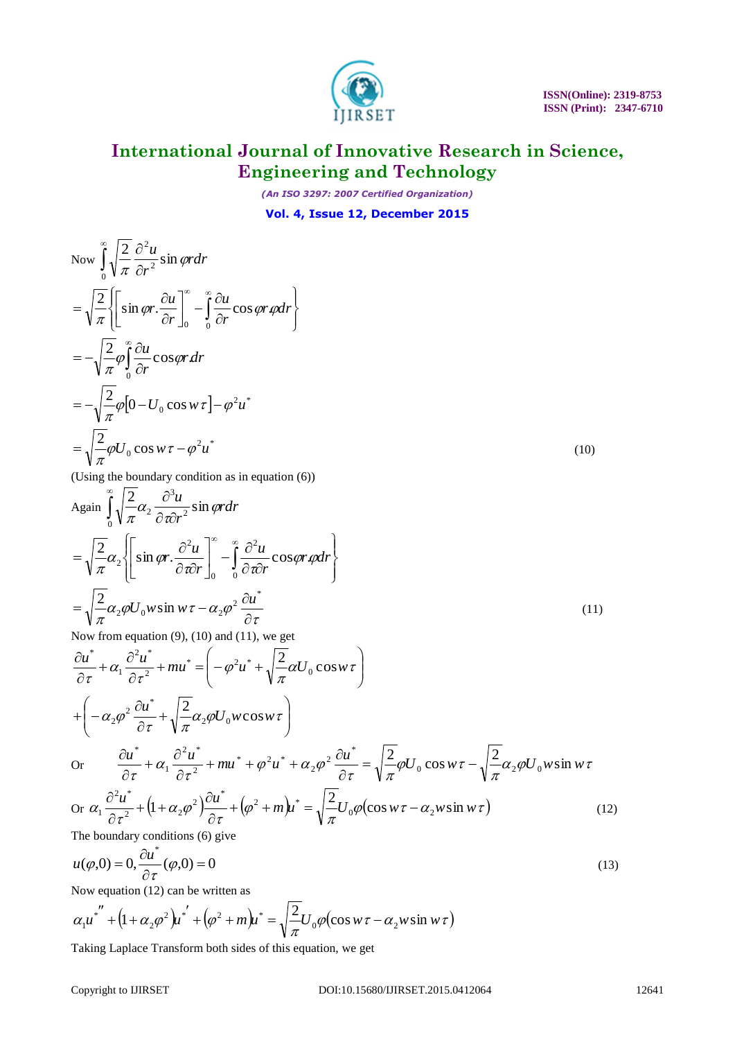

*(An ISO 3297: 2007 Certified Organization)*

### **Vol. 4, Issue 12, December 2015**

Now 
$$
\int_{0}^{\infty} \sqrt{\frac{2}{\pi}} \frac{\partial^{2} u}{\partial r^{2}} \sin \varphi r dr
$$
  
\n
$$
= \sqrt{\frac{2}{\pi}} \Biggl\{ \Biggl[ \sin \varphi r \cdot \frac{\partial u}{\partial r} \Biggr]_{0}^{\infty} - \int_{0}^{\infty} \frac{\partial u}{\partial r} \cos \varphi r \varphi dr \Biggr\}
$$
  
\n
$$
= -\sqrt{\frac{2}{\pi}} \varphi \int_{0}^{\infty} \frac{\partial u}{\partial r} \cos \varphi r dr
$$
  
\n
$$
= -\sqrt{\frac{2}{\pi}} \varphi \Biggl[ 0 - U_{0} \cos w \tau \Biggr] - \varphi^{2} u^{*}
$$
  
\n
$$
= \sqrt{\frac{2}{\pi}} \varphi U_{0} \cos w \tau - \varphi^{2} u^{*}
$$
 (10)

(Using the boundary condition as in equation (6))

Again 
$$
\int_{0}^{\infty} \sqrt{\frac{2}{\pi}} \alpha_{2} \frac{\partial^{3} u}{\partial \pi} \sin \varphi r d\tau
$$
  
\n
$$
= \sqrt{\frac{2}{\pi}} \alpha_{2} \left\{ \left[ \sin \varphi r \cdot \frac{\partial^{2} u}{\partial \pi} \right]_{0}^{\infty} - \int_{0}^{\infty} \frac{\partial^{2} u}{\partial \pi} \cos \varphi r \varphi dr \right\}
$$
  
\n
$$
= \sqrt{\frac{2}{\pi}} \alpha_{2} \varphi U_{0} w \sin w \tau - \alpha_{2} \varphi^{2} \frac{\partial u^{*}}{\partial \tau}
$$
  
\nNow from equation (9) (10) and (11) we get

Now from equation (9), (10) and (11), we get

$$
\frac{\partial u^*}{\partial \tau} + \alpha_1 \frac{\partial^2 u^*}{\partial \tau^2} + mu^* = \left( -\varphi^2 u^* + \sqrt{\frac{2}{\pi}} \alpha U_0 \cos w \tau \right)
$$
  
+  $\left( -\alpha_2 \varphi^2 \frac{\partial u^*}{\partial \tau} + \sqrt{\frac{2}{\pi}} \alpha_2 \varphi U_0 w \cos w \tau \right)$   
or  $\frac{\partial u^*}{\partial \tau} + \alpha_1 \frac{\partial^2 u^*}{\partial \tau^2} + mu^* + \varphi^2 u^* + \alpha_2 \varphi^2 \frac{\partial u^*}{\partial \tau} = \sqrt{\frac{2}{\pi}} \varphi U_0 \cos w \tau - \sqrt{\frac{2}{\pi}} \alpha_2 \varphi U_0 w \sin w \tau$   
or  $\alpha_1 \frac{\partial^2 u^*}{\partial \tau^2} + (1 + \alpha_2 \varphi^2) \frac{\partial u^*}{\partial \tau} + (\varphi^2 + m) u^* = \sqrt{\frac{2}{\pi}} U_0 \varphi (\cos w \tau - \alpha_2 w \sin w \tau)$  (12)

The boundary conditions (6) give

$$
u(\varphi,0) = 0, \frac{\partial u^*}{\partial \tau}(\varphi,0) = 0
$$
\n(13)

Now equation (12) can be written as

$$
\alpha_1 u^{*} + (1 + \alpha_2 \varphi^2) u^{*} + (\varphi^2 + m) u^{*} = \sqrt{\frac{2}{\pi}} U_0 \varphi (\cos w \tau - \alpha_2 w \sin w \tau)
$$

Taking Laplace Transform both sides of this equation, we get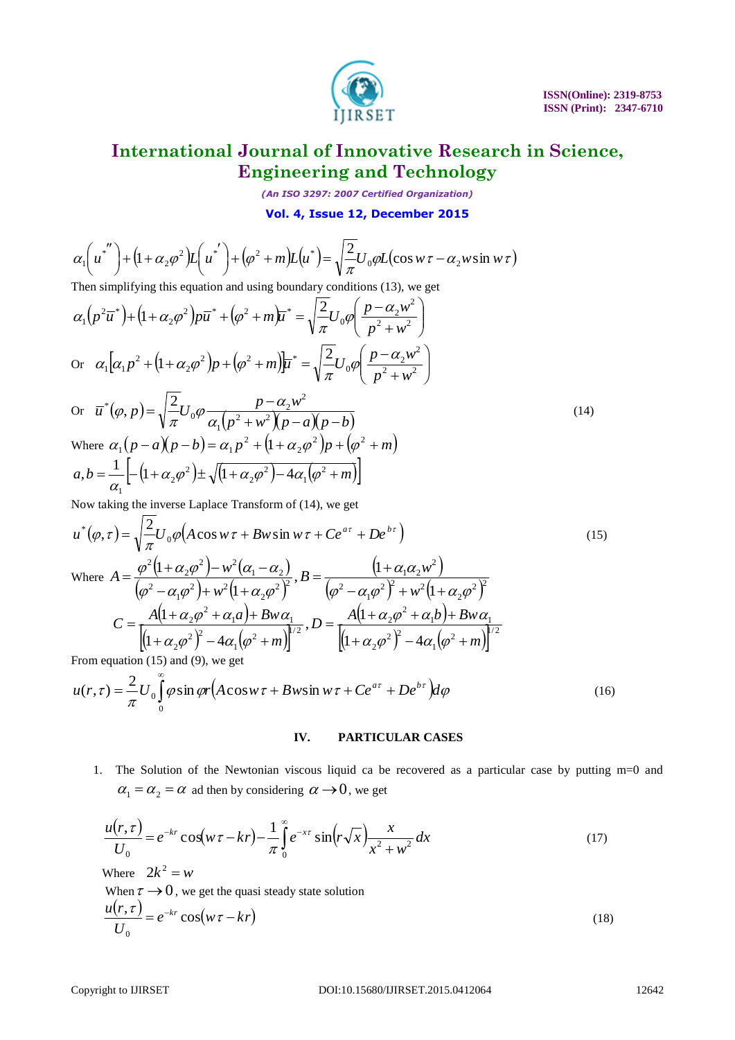

*(An ISO 3297: 2007 Certified Organization)*

**Vol. 4, Issue 12, December 2015**

$$
\alpha_1 \left( u^{*} \right) + \left( 1 + \alpha_2 \varphi^2 \right) L \left( u^{*} \right) + \left( \varphi^2 + m \right) L \left( u^{*} \right) = \sqrt{\frac{2}{\pi}} U_0 \varphi L (\cos w \tau - \alpha_2 w \sin w \tau)
$$
  
Then simplifying this equation and using boundary conditions (13) we get

Then simplifying this equation and using boundary conditions (13), we get

$$
\alpha_1 \begin{pmatrix} u^* \\ u^* \end{pmatrix} + (1 + \alpha_2 \varphi^2) L \begin{pmatrix} u^* \\ u^* \end{pmatrix} + (\varphi^2 + m) L \begin{pmatrix} u^* \\ u^* \end{pmatrix} = \sqrt{\frac{2}{\pi}} U_0 \varphi L (\cos w \tau - \alpha_2 w \sin w \tau)
$$
  
\nThen simplifying this equation and using boundary conditions (13), we get  
\n
$$
\alpha_1 (p^2 \pi^2) + (1 + \alpha_2 \varphi^2) p \pi^* + (\varphi^2 + m) \mathbf{r}^* = \sqrt{\frac{2}{\pi}} U_0 \varphi \left( \frac{p - \alpha_2 w^2}{p^2 + w^2} \right)
$$
  
\nOr 
$$
\alpha_1 \left[ \alpha_1 p^2 + (1 + \alpha_2 \varphi^2) p + (\varphi^2 + m) \mathbf{r}^* \right] = \sqrt{\frac{2}{\pi}} U_0 \varphi \left( \frac{p - \alpha_2 w^2}{p^2 + w^2} \right)
$$
  
\nOr 
$$
\overline{u}^* (\varphi, p) = \sqrt{\frac{2}{\pi}} U_0 \varphi \frac{p - \alpha_2 w^2}{\alpha_1 (p^2 + w^2) (p - \alpha) (p - b)}
$$
  
\nWhere  $\alpha_1 (p - \alpha) (p - b) = \alpha_1 p^2 + (1 + \alpha_2 \varphi^2) p + (\varphi^2 + m)$   
\n $\alpha, b = \frac{1}{\alpha_1} \left[ (1 + \alpha_2 \varphi^2) \pm \sqrt{(1 + \alpha_2 \varphi^2) - 4\alpha_1 (\varphi^2 + m)} \right]$   
\nNow taking the inverse Laplace Transform of (14), we get  
\n
$$
u^*(\varphi, \tau) = \sqrt{\frac{2}{\pi}} U_0 \varphi (A \cos w \tau + Bw \sin w \tau + C e^{\alpha \tau} + D e^{\beta \tau})
$$
(15)  
\nWhere  $A = \frac{\varphi^2 (1 + \alpha_2 \varphi^2) - w^2 (\alpha_1 - \alpha_2)}{(\varphi^2 - \alpha_1 \varphi^2)^2}, B = \frac{(1 + \alpha_1 \alpha_2 w^2)}{(\varphi^2 - \alpha_1 \varphi^2)^2 + w^2 (1 + \alpha_2 \varphi^$ 

Now taking the inverse Laplace Transform of (14), we get

$$
u^*(\varphi, \tau) = \sqrt{\frac{2}{\pi}} U_0 \varphi \Big( A \cos w \tau + Bw \sin w \tau + C e^{a\tau} + D e^{b\tau} \Big)
$$
  
\nWhere 
$$
A = \frac{\varphi^2 (1 + \alpha_2 \varphi^2) - w^2 (\alpha_1 - \alpha_2)}{(\alpha_1^2 - \alpha_2 \alpha_1^2) + w^2 (1 + \alpha_1 \alpha_2^2)^2}, B = \frac{(1 + \alpha_1 \alpha_2 w^2)}{(\alpha_1^2 - \alpha_2 \alpha_1^2)^2 + w^2 (1 + \alpha_1 \alpha_2^2)^2}
$$
 (15)

$$
(\varphi^2 - \alpha_1 \varphi^2) + w^2 (1 + \alpha_2 \varphi^2)^2 \qquad (\varphi^2 - \alpha_1 \varphi^2)^2 + w^2 (1 + \alpha_2 \varphi^2)^2
$$
  

$$
C = \frac{A(1 + \alpha_2 \varphi^2 + \alpha_1 a) + Bw \alpha_1}{[(1 + \alpha_2 \varphi^2)^2 - 4\alpha_1 (\varphi^2 + m)]^{1/2}}, D = \frac{A(1 + \alpha_2 \varphi^2 + \alpha_1 b) + Bw \alpha_1}{[(1 + \alpha_2 \varphi^2)^2 - 4\alpha_1 (\varphi^2 + m)]^{1/2}}
$$

From equation (15) and (9), we get

1

From equation (15) and (9), we get  
\n
$$
u(r,\tau) = \frac{2}{\pi} U_0 \int_0^{\infty} \phi \sin \varphi r (A \cos w \tau + B w \sin w \tau + C e^{a\tau} + D e^{b\tau}) d\varphi
$$
\n(16)

### **IV. PARTICULAR CASES**

1. The Solution of the Newtonian viscous liquid ca be recovered as a particular case by putting m=0 and  $\alpha_1 = \alpha_2 = \alpha$  ad then by considering  $\alpha \rightarrow 0$ , we get

$$
\frac{u(r,\tau)}{U_0} = e^{-kr} \cos(w\tau - kr) - \frac{1}{\pi} \int_0^\infty e^{-x\tau} \sin(r\sqrt{x}) \frac{x}{x^2 + w^2} dx
$$
\n(17)

Where 
$$
2k^2 = w
$$
  
\nWhen  $\tau \to 0$ , we get the quasi steady state solution  
\n
$$
\frac{u(r,\tau)}{U_0} = e^{-kr} \cos(w\tau - kr)
$$
\n(18)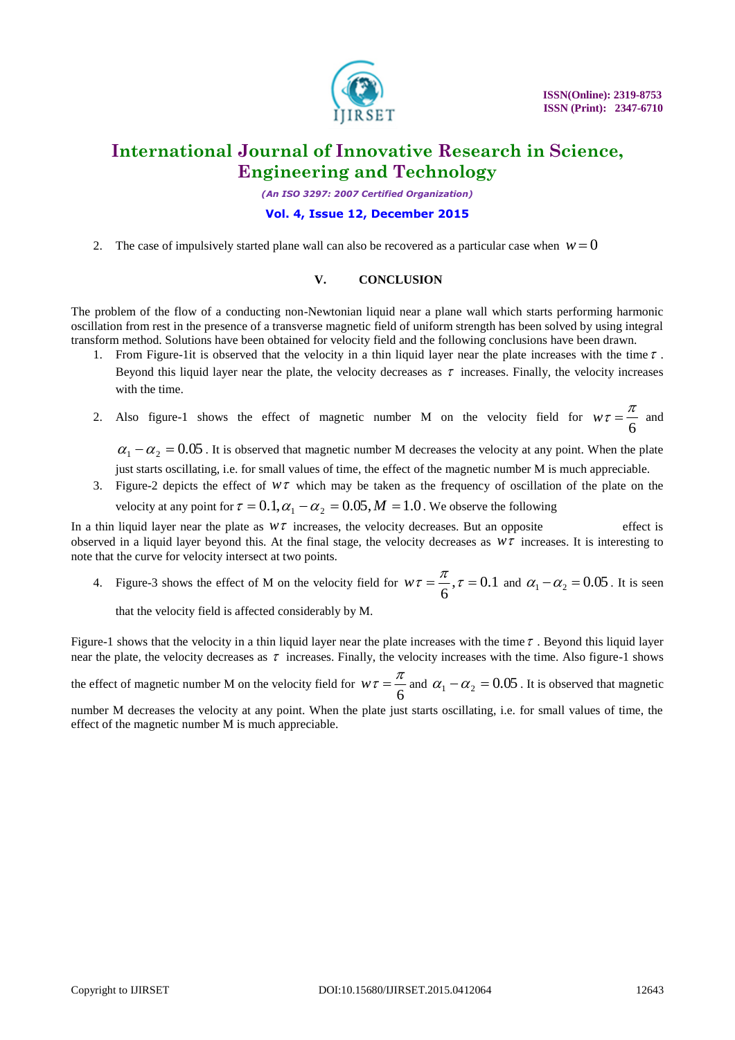

*(An ISO 3297: 2007 Certified Organization)*

### **Vol. 4, Issue 12, December 2015**

2. The case of impulsively started plane wall can also be recovered as a particular case when  $w = 0$ 

### **V. CONCLUSION**

The problem of the flow of a conducting non-Newtonian liquid near a plane wall which starts performing harmonic oscillation from rest in the presence of a transverse magnetic field of uniform strength has been solved by using integral transform method. Solutions have been obtained for velocity field and the following conclusions have been drawn.

- 1. From Figure-1it is observed that the velocity in a thin liquid layer near the plate increases with the time  $\tau$ . Beyond this liquid layer near the plate, the velocity decreases as  $\tau$  increases. Finally, the velocity increases with the time.
- 2. Also figure-1 shows the effect of magnetic number M on the velocity field for  $w\tau = \frac{4}{6}$  $w\tau = \frac{\pi}{6}$  and

 $\alpha_1 - \alpha_2 = 0.05$ . It is observed that magnetic number M decreases the velocity at any point. When the plate just starts oscillating, i.e. for small values of time, the effect of the magnetic number M is much appreciable.

3. Figure-2 depicts the effect of  $W\tau$  which may be taken as the frequency of oscillation of the plate on the velocity at any point for  $\tau = 0.1, \alpha_1 - \alpha_2 = 0.05, M = 1.0$ . We observe the following

In a thin liquid layer near the plate as  $w\tau$  increases, the velocity decreases. But an opposite effect is observed in a liquid layer beyond this. At the final stage, the velocity decreases as  $w\tau$  increases. It is interesting to note that the curve for velocity intersect at two points.

4. Figure-3 shows the effect of M on the velocity field for  $w\tau = \frac{\pi}{2}$ ,  $\tau = 0.1$ 6  $w\tau = \frac{\pi}{6}$ ,  $\tau = 0.1$  and  $\alpha_1 - \alpha_2 = 0.05$ . It is seen

that the velocity field is affected considerably by M.

Figure-1 shows that the velocity in a thin liquid layer near the plate increases with the time  $\tau$ . Beyond this liquid layer near the plate, the velocity decreases as  $\tau$  increases. Finally, the velocity increases with the time. Also figure-1 shows

the effect of magnetic number M on the velocity field for  $w\tau = \frac{6}{6}$  $w\tau = \frac{\pi}{6}$  and  $\alpha_1 - \alpha_2 = 0.05$ . It is observed that magnetic

number M decreases the velocity at any point. When the plate just starts oscillating, i.e. for small values of time, the effect of the magnetic number M is much appreciable.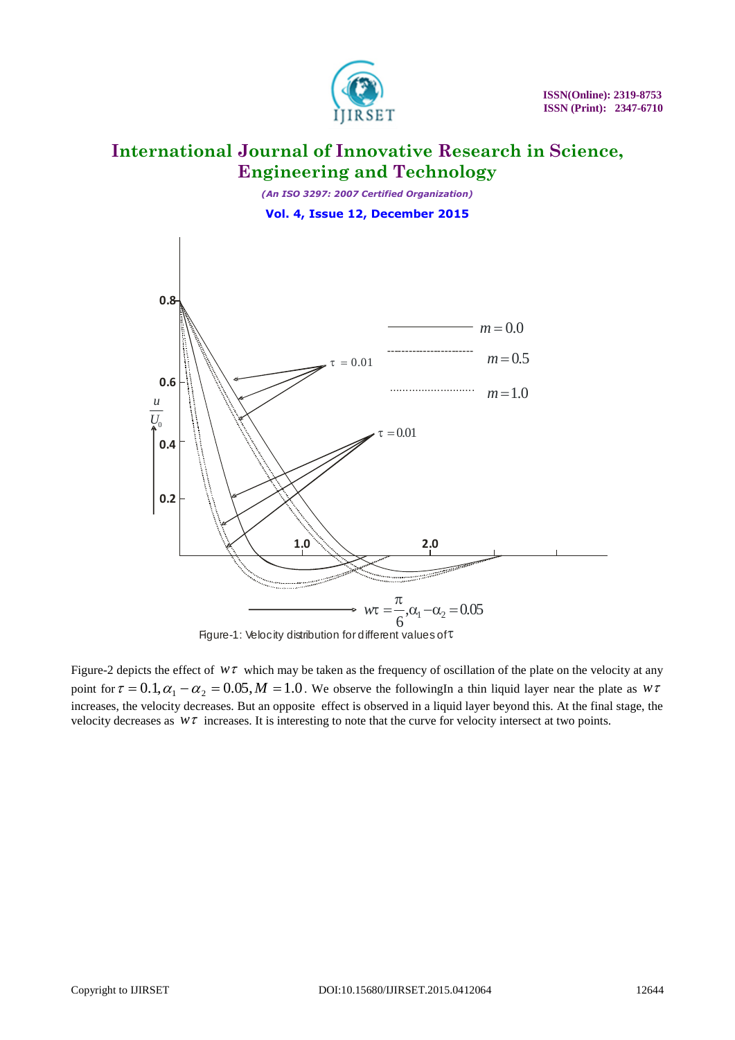

*(An ISO 3297: 2007 Certified Organization)* **Vol. 4, Issue 12, December 2015**



Figure-2 depicts the effect of  $w\tau$  which may be taken as the frequency of oscillation of the plate on the velocity at any point for  $\tau = 0.1, \alpha_1 - \alpha_2 = 0.05, M = 1.0$ . We observe the followingIn a thin liquid layer near the plate as  $w\tau$ increases, the velocity decreases. But an opposite effect is observed in a liquid layer beyond this. At the final stage, the velocity decreases as  $w\tau$  increases. It is interesting to note that the curve for velocity intersect at two points.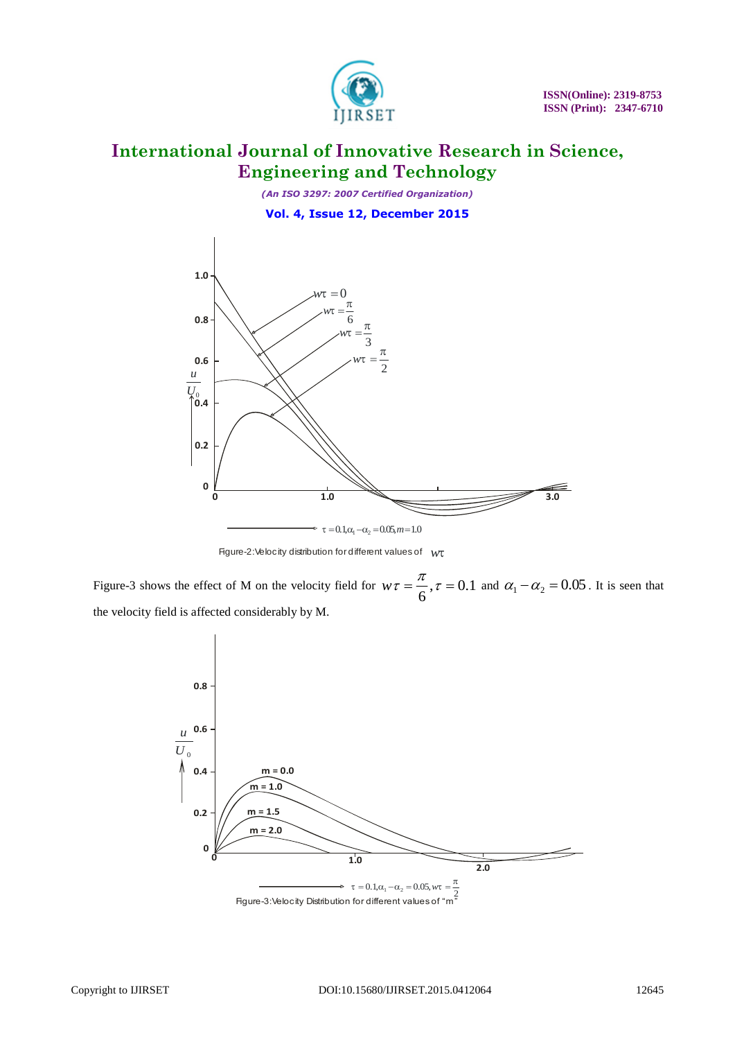

*(An ISO 3297: 2007 Certified Organization)* **Vol. 4, Issue 12, December 2015**



Figure-2:Velocity distribution for different values of *w*

Figure-3 shows the effect of M on the velocity field for  $w\tau = \frac{\pi}{2}, \tau = 0.1$ 6  $w\tau = \frac{\pi}{6}$ ,  $\tau = 0.1$  and  $\alpha_1 - \alpha_2 = 0.05$ . It is seen that the velocity field is affected considerably by M.